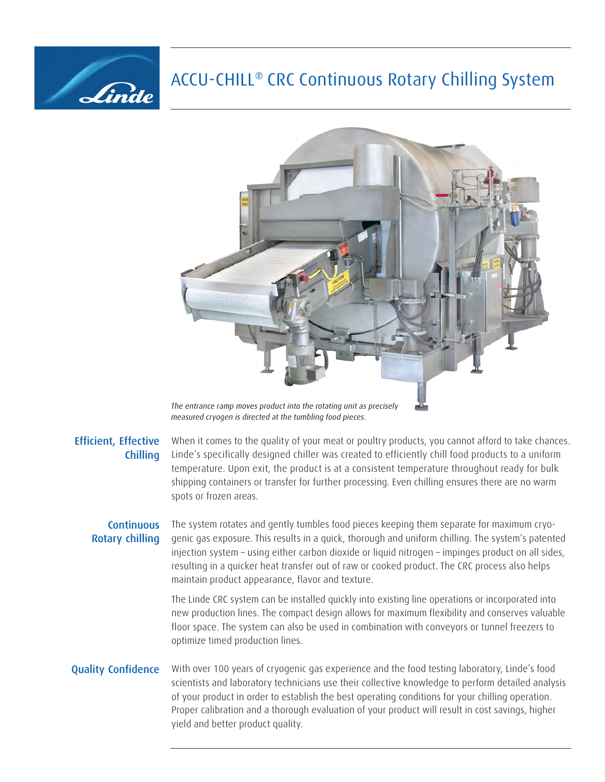# ACCU-CHILL® CRC Continuous Rotary Chilling System



The entrance ramp moves product into the rotating unit as precisely measured cryogen is directed at the tumbling food pieces.

#### Efficient, Effective Chilling

Linde

When it comes to the quality of your meat or poultry products, you cannot afford to take chances. Linde's specifically designed chiller was created to efficiently chill food products to a uniform temperature. Upon exit, the product is at a consistent temperature throughout ready for bulk shipping containers or transfer for further processing. Even chilling ensures there are no warm spots or frozen areas.

## **Continuous** Rotary chilling

The system rotates and gently tumbles food pieces keeping them separate for maximum cryogenic gas exposure. This results in a quick, thorough and uniform chilling. The system's patented injection system – using either carbon dioxide or liquid nitrogen – impinges product on all sides, resulting in a quicker heat transfer out of raw or cooked product. The CRC process also helps maintain product appearance, flavor and texture.

The Linde CRC system can be installed quickly into existing line operations or incorporated into new production lines. The compact design allows for maximum flexibility and conserves valuable floor space. The system can also be used in combination with conveyors or tunnel freezers to optimize timed production lines.

### Quality Confidence

With over 100 years of cryogenic gas experience and the food testing laboratory, Linde's food scientists and laboratory technicians use their collective knowledge to perform detailed analysis of your product in order to establish the best operating conditions for your chilling operation. Proper calibration and a thorough evaluation of your product will result in cost savings, higher yield and better product quality.